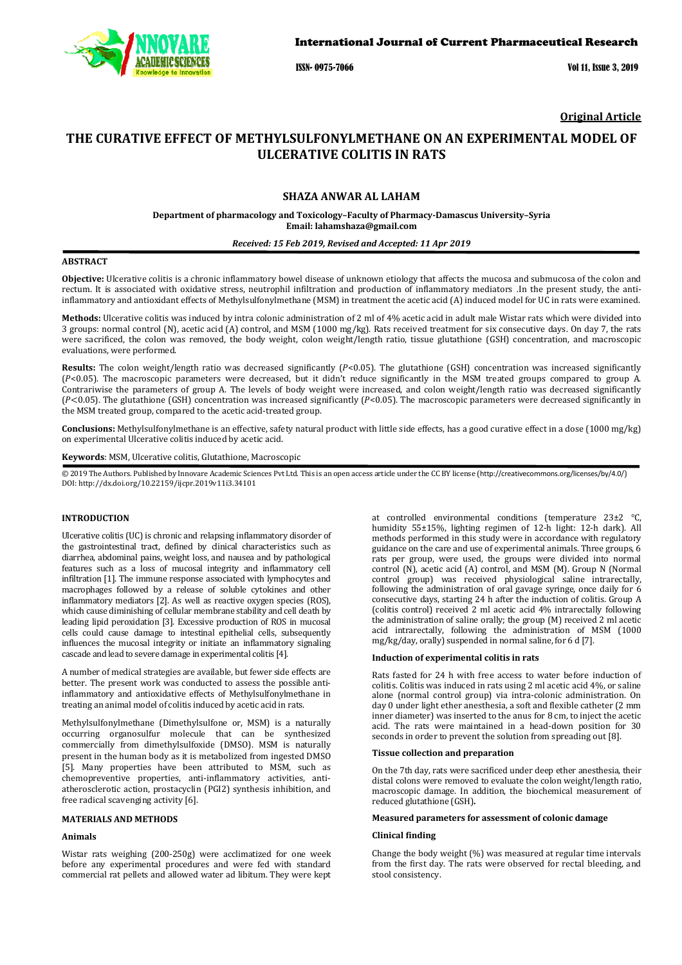

## International Journal of Current Pharmaceutical Research

ISSN- 0975-7066 Vol 11, Issue 3, 2019

**Original Article** 

# **THE CURATIVE EFFECT OF METHYLSULFONYLMETHANE ON AN EXPERIMENTAL MODEL OF ULCERATIVE COLITIS IN RATS**

## **SHAZA ANWAR AL LAHAM**

**Department of pharmacology and Toxicology–Faculty of Pharmacy-Damascus University–Syria Email: lahamshaza@gmail.com** 

#### *Received: 15 Feb 2019, Revised and Accepted: 11 Apr 2019*

## **ABSTRACT**

**Objective:** Ulcerative colitis is a chronic inflammatory bowel disease of unknown etiology that affects the mucosa and submucosa of the colon and rectum. It is associated with oxidative stress, neutrophil infiltration and production of inflammatory mediators . In the present study, the antiinflammatory and antioxidant effects of Methylsulfonylmethane (MSM) in treatment the acetic acid (A) induced model for UC in rats were examined.

**Methods:** Ulcerative colitis was induced by intra colonic administration of 2 ml of 4% acetic acid in adult male Wistar rats which were divided into 3 groups: normal control (N), acetic acid (A) control, and MSM (1000 mg/kg). Rats received treatment for six consecutive days. On day 7, the rats were sacrificed, the colon was removed, the body weight, colon weight/length ratio, tissue glutathione (GSH) concentration, and macroscopic evaluations, were performed.

Results: The colon weight/length ratio was decreased significantly (P<0.05). The glutathione (GSH) concentration was increased significantly  $(P<0.05)$ . The macroscopic parameters were decreased, but it didn't reduce significantly in the MSM treated groups compared to group A. Contrariwise the parameters of group A. The levels of body weight were increased, and colon weight/length ratio was decreased significantly  $(P<0.05)$ . The glutathione (GSH) concentration was increased significantly  $(P<0.05)$ . The macroscopic parameters were decreased significantly in the MSM treated group, compared to the acetic acid-treated group.

**Conclusions:** Methylsulfonylmethane is an effective, safety natural product with little side effects, has a good curative effect in a dose (1000 mg/kg) on experimental Ulcerative colitis induced by acetic acid.

**Keywords**: MSM, Ulcerative colitis, Glutathione, Macroscopic

© 2019 The Authors. Published by Innovare Academic Sciences Pvt Ltd. This is an open access article under the CC BY license (http://creativecommons.org/licenses/by/4.0/) DOI: http://dx.doi.org/10.22159/ijcpr.2019v11i3.34101

## **INTRODUCTION**

Ulcerative colitis (UC) is chronic and relapsing inflammatory disorder of the gastrointestinal tract, defined by clinical characteristics such as diarrhea, abdominal pains, weight loss, and nausea and by pathological features such as a loss of mucosal integrity and inflammatory cell infiltration [1]. The immune response associated with lymphocytes and macrophages followed by a release of soluble cytokines and other inflammatory mediators [2]. As well as reactive oxygen species (ROS), which cause diminishing of cellular membrane stability and cell death by leading lipid peroxidation [3]. Excessive production of ROS in mucosal cells could cause damage to intestinal epithelial cells, subsequently influences the mucosal integrity or initiate an inflammatory signaling cascade and lead to severe damage in experimental colitis [4].

A number of medical strategies are available, but fewer side effects are better. The present work was conducted to assess the possible antiinflammatory and antioxidative effects of Methylsulfonylmethane in treating an animal model of colitis induced by acetic acid in rats.

Methylsulfonylmethane (Dimethylsulfone or, MSM) is a naturally occurring organosulfur molecule that can be synthesized commercially from dimethylsulfoxide (DMSO). MSM is naturally present in the human body as it is metabolized from ingested DMSO [5]. Many properties have been attributed to MSM, such as chemopreventive properties, anti-inflammatory activities, antiatherosclerotic action, prostacyclin (PGI2) synthesis inhibition, and free radical scavenging activity [6].

#### **MATERIALS AND METHODS**

#### **Animals**

Wistar rats weighing (200-250g) were acclimatized for one week before any experimental procedures and were fed with standard commercial rat pellets and allowed water ad libitum. They were kept

at controlled environmental conditions (temperature 23±2 °C, humidity 55±15%, lighting regimen of 12-h light: 12-h dark). All methods performed in this study were in accordance with regulatory guidance on the care and use of experimental animals. Three groups, 6 rats per group, were used, the groups were divided into normal control (N), acetic acid (A) control, and MSM (M). Group N (Normal control group) was received physiological saline intrarectally, following the administration of oral gavage syringe, once daily for 6 consecutive days, starting 24 h after the induction of colitis. Group A (colitis control) received 2 ml acetic acid 4% intrarectally following the administration of saline orally; the group (M) received 2 ml acetic acid intrarectally, following the administration of MSM (1000 mg/kg/day, orally) suspended in normal saline, for 6 d [7].

#### **Induction of experimental colitis in rats**

Rats fasted for 24 h with free access to water before induction of colitis. Colitis was induced in rats using 2 ml acetic acid 4%, or saline alone (normal control group) via intra-colonic administration. On day 0 under light ether anesthesia, a soft and flexible catheter (2 mm inner diameter) was inserted to the anus for 8 cm, to inject the acetic acid. The rats were maintained in a head-down position for 30 seconds in order to prevent the solution from spreading out [8].

## **Tissue collection and preparation**

On the 7th day, rats were sacrificed under deep ether anesthesia, their distal colons were removed to evaluate the colon weight/length ratio, macroscopic damage. In addition, the biochemical measurement of reduced glutathione (GSH)**.** 

#### **Measured parameters for assessment of colonic damage**

## **Clinical finding**

Change the body weight (%) was measured at regular time intervals from the first day. The rats were observed for rectal bleeding, and stool consistency.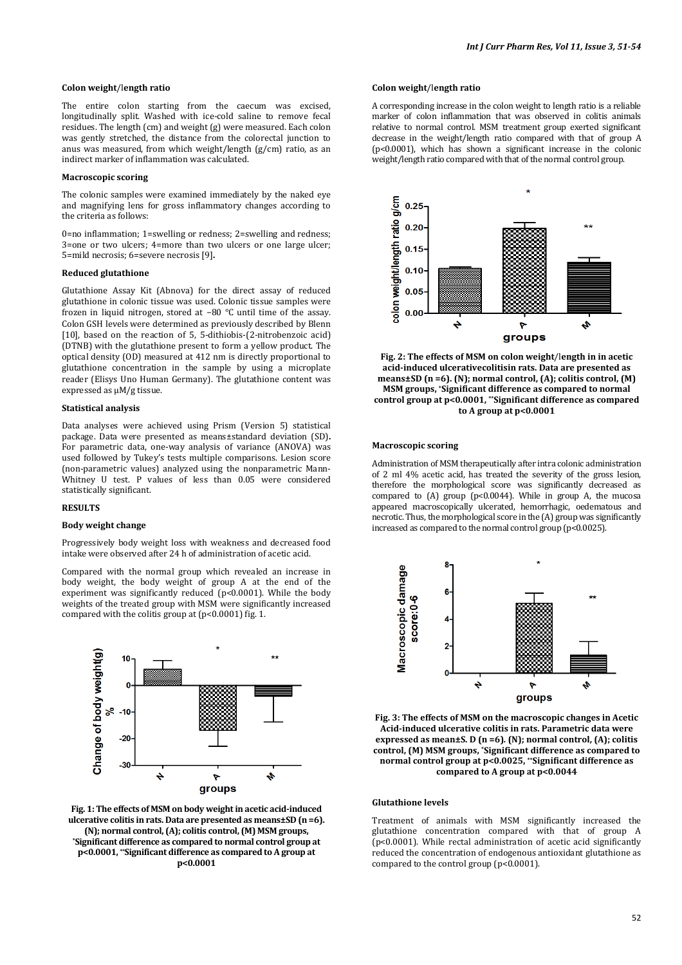#### **Colon weight**/l**ength ratio**

The entire colon starting from the caecum was excised, longitudinally split. Washed with ice-cold saline to remove fecal residues. The length (cm) and weight (g) were measured. Each colon was gently stretched, the distance from the colorectal junction to anus was measured, from which weight/length (g/cm) ratio, as an indirect marker of inflammation was calculated.

## **Macroscopic scoring**

The colonic samples were examined immediately by the naked eye and magnifying lens for gross inflammatory changes according to the criteria as follows:

0=no inflammation; 1=swelling or redness; 2=swelling and redness; 3=one or two ulcers; 4=more than two ulcers or one large ulcer; 5=mild necrosis; 6=severe necrosis [9]**.** 

#### **Reduced glutathione**

Glutathione Assay Kit (Abnova) for the direct assay of reduced glutathione in colonic tissue was used. Colonic tissue samples were frozen in liquid nitrogen, stored at −80 °C until time of the assay. Colon GSH levels were determined as previously described by Blenn [10], based on the reaction of 5, 5-dithiobis-(2-nitrobenzoic acid) (DTNB) with the glutathione present to form a yellow product. The optical density (OD) measured at 412 nm is directly proportional to glutathione concentration in the sample by using a microplate reader (Elisys Uno Human Germany). The glutathione content was expressed as μM/g tissue.

#### **Statistical analysis**

Data analyses were achieved using Prism (Version 5) statistical package. Data were presented as means±standard deviation (SD)**.** For parametric data, one-way analysis of variance (ANOVA) was used followed by Tukey's tests multiple comparisons. Lesion score (non-parametric values) analyzed using the nonparametric Mann-Whitney U test. P values of less than 0.05 were considered statistically significant.

## **RESULTS**

## **Body weight change**

Progressively body weight loss with weakness and decreased food intake were observed after 24 h of administration of acetic acid.

Compared with the normal group which revealed an increase in body weight, the body weight of group A at the end of the experiment was significantly reduced (p<0.0001). While the body weights of the treated group with MSM were significantly increased compared with the colitis group at  $(p<0.0001)$  fig. 1.



**Fig. 1: The effects of MSM on body weight in acetic acid-induced ulcerative colitis in rats. Data are presented as means±SD (n =6). (N); normal control, (A); colitis control, (M) MSM groups, \*Significant difference as compared to normal control group at p<0.0001, \*\*Significant difference as compared to A group at p<0.0001** 

#### **Colon weight**/l**ength ratio**

A corresponding increase in the colon weight to length ratio is a reliable marker of colon inflammation that was observed in colitis animals relative to normal control. MSM treatment group exerted significant decrease in the weight/length ratio compared with that of group A (p<0.0001), which has shown a significant increase in the colonic weight/length ratio compared with that of the normal control group.



**Fig. 2: The effects of MSM on colon weight**/l**ength in in acetic acid-induced ulcerativecolitisin rats. Data are presented as means±SD (n =6). (N); normal control, (A); colitis control, (M) MSM groups, \*Significant difference as compared to normal control group at p<0.0001, \*\*Significant difference as compared to A group at p<0.0001** 

#### **Macroscopic scoring**

Administration of MSM therapeutically after intra colonic administration of 2 ml 4% acetic acid, has treated the severity of the gross lesion, therefore the morphological score was significantly decreased as compared to  $(A)$  group  $(p<0.0044)$ . While in group  $A$ , the mucosa appeared macroscopically ulcerated, hemorrhagic, oedematous and necrotic. Thus, the morphological score in the (A) group was significantly increased as compared to the normal control group (p<0.0025).



**Fig. 3: The effects of MSM on the macroscopic changes in Acetic Acid-induced ulcerative colitis in rats. Parametric data were expressed as mean±S. D (n =6)***.* **(N); normal control, (A); colitis control, (M) MSM groups, \*Significant difference as compared to normal control group at p<0.0025, \*\*Significant difference as compared to A group at p<0.0044** 

## **Glutathione levels**

Treatment of animals with MSM significantly increased the glutathione concentration compared with that of group A (p<0.0001). While rectal administration of acetic acid significantly reduced the concentration of endogenous antioxidant glutathione as compared to the control group (p<0.0001).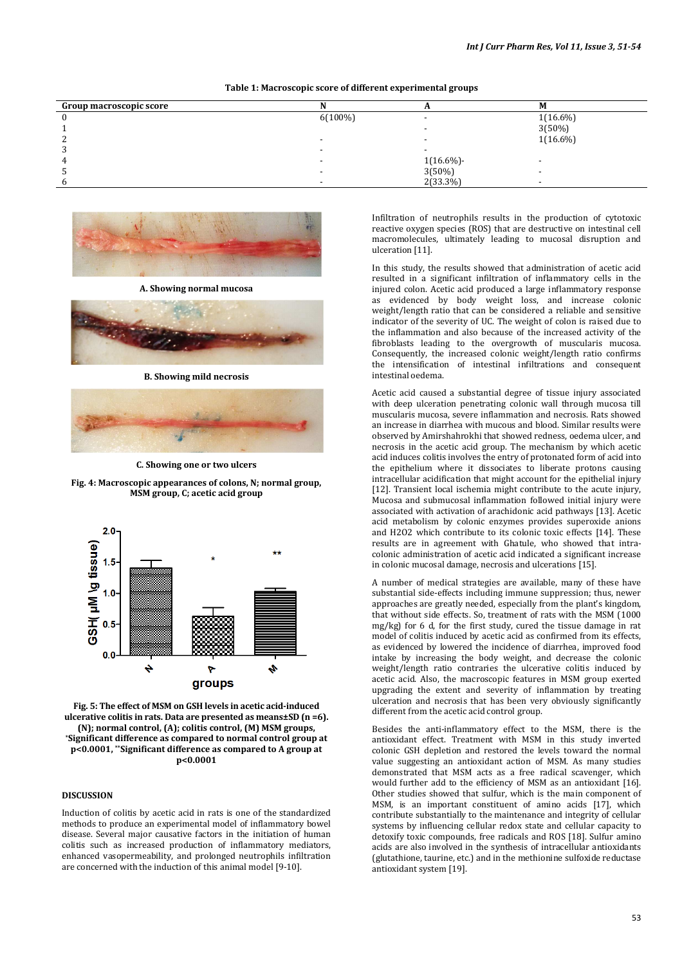| Group macroscopic score |            |             | М           |
|-------------------------|------------|-------------|-------------|
| 0                       | $6(100\%)$ |             | $1(16.6\%)$ |
|                         |            |             | $3(50\%)$   |
| C<br>∼                  |            |             | $1(16.6\%)$ |
| 3                       |            |             |             |
| 4                       |            | $1(16.6\%)$ |             |
| 5                       |            | 3(50%)      |             |
| 6                       |            | $2(33.3\%)$ |             |

## **Table 1: Macroscopic score of different experimental groups**



**A. Showing normal mucosa** 



**B. Showing mild necrosis** 



**C. Showing one or two ulcers** 

**Fig. 4: Macroscopic appearances of colons, N; normal group, MSM group, C; acetic acid group** 



**Fig. 5: The effect of MSM on GSH levels in acetic acid-induced ulcerative colitis in rats. Data are presented as means±SD (n =6). (N); normal control, (A); colitis control, (M) MSM groups, \*Significant difference as compared to normal control group at p<0.0001, \*\*Significant difference as compared to A group at p<0.0001** 

## **DISCUSSION**

Induction of colitis by acetic acid in rats is one of the standardized methods to produce an experimental model of inflammatory bowel disease. Several major causative factors in the initiation of human colitis such as increased production of inflammatory mediators, enhanced vasopermeability, and prolonged neutrophils infiltration are concerned with the induction of this animal model [9-10].

Infiltration of neutrophils results in the production of cytotoxic reactive oxygen species (ROS) that are destructive on intestinal cell macromolecules, ultimately leading to mucosal disruption and ulceration [11].

In this study, the results showed that administration of acetic acid resulted in a significant infiltration of inflammatory cells in the injured colon. Acetic acid produced a large inflammatory response as evidenced by body weight loss, and increase colonic weight/length ratio that can be considered a reliable and sensitive indicator of the severity of UC. The weight of colon is raised due to the inflammation and also because of the increased activity of the fibroblasts leading to the overgrowth of muscularis mucosa. Consequently, the increased colonic weight/length ratio confirms the intensification of intestinal infiltrations and consequent intestinal oedema.

Acetic acid caused a substantial degree of tissue injury associated with deep ulceration penetrating colonic wall through mucosa till muscularis mucosa, severe inflammation and necrosis. Rats showed an increase in diarrhea with mucous and blood. Similar results were observed by Amirshahrokhi that showed redness, oedema ulcer, and necrosis in the acetic acid group. The mechanism by which acetic acid induces colitis involves the entry of protonated form of acid into the epithelium where it dissociates to liberate protons causing intracellular acidification that might account for the epithelial injury [12]. Transient local ischemia might contribute to the acute injury, Mucosa and submucosal inflammation followed initial injury were associated with activation of arachidonic acid pathways [13]. Acetic acid metabolism by colonic enzymes provides superoxide anions and H2O2 which contribute to its colonic toxic effects [14]. These results are in agreement with Ghatule, who showed that intracolonic administration of acetic acid indicated a significant increase in colonic mucosal damage, necrosis and ulcerations [15].

A number of medical strategies are available, many of these have substantial side-effects including immune suppression; thus, newer approaches are greatly needed, especially from the plant's kingdom, that without side effects. So, treatment of rats with the MSM (1000 mg/kg) for 6 d, for the first study, cured the tissue damage in rat model of colitis induced by acetic acid as confirmed from its effects, as evidenced by lowered the incidence of diarrhea, improved food intake by increasing the body weight, and decrease the colonic weight/length ratio contraries the ulcerative colitis induced by acetic acid. Also, the macroscopic features in MSM group exerted upgrading the extent and severity of inflammation by treating ulceration and necrosis that has been very obviously significantly different from the acetic acid control group.

Besides the anti-inflammatory effect to the MSM, there is the antioxidant effect. Treatment with MSM in this study inverted colonic GSH depletion and restored the levels toward the normal value suggesting an antioxidant action of MSM. As many studies demonstrated that MSM acts as a free radical scavenger, which would further add to the efficiency of MSM as an antioxidant [16]. Other studies showed that sulfur, which is the main component of MSM, is an important constituent of amino acids [17], which contribute substantially to the maintenance and integrity of cellular systems by influencing cellular redox state and cellular capacity to detoxify toxic compounds, free radicals and ROS [18]. Sulfur amino acids are also involved in the synthesis of intracellular antioxidants (glutathione, taurine, etc.) and in the methionine sulfoxide reductase antioxidant system [19].